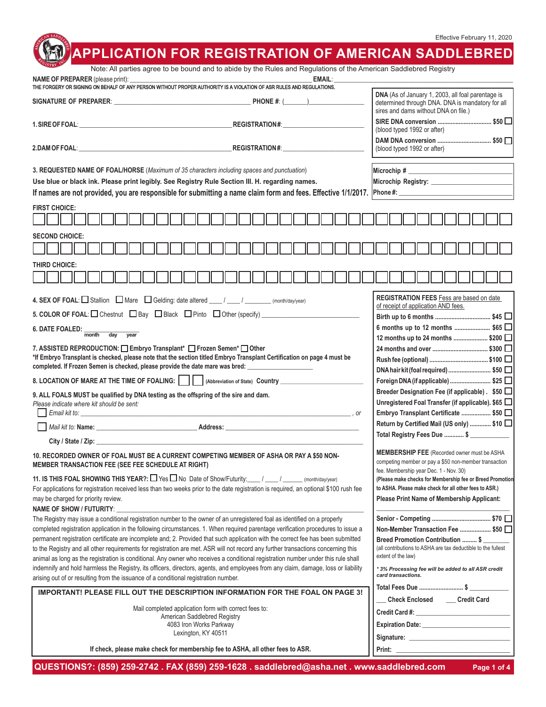## Effective February 11, 2020

|                                                                                                                                                                                                                                                                                                                                                                                                                                                                                                                                                                                                                                                                                                                                                                                                                                                                                                                                      |                                                                                                                                                                                                                                                                    |  |                                                                                                                                                   | Effective February 11, 2020                                                                                                                                                                                                                                    |  |
|--------------------------------------------------------------------------------------------------------------------------------------------------------------------------------------------------------------------------------------------------------------------------------------------------------------------------------------------------------------------------------------------------------------------------------------------------------------------------------------------------------------------------------------------------------------------------------------------------------------------------------------------------------------------------------------------------------------------------------------------------------------------------------------------------------------------------------------------------------------------------------------------------------------------------------------|--------------------------------------------------------------------------------------------------------------------------------------------------------------------------------------------------------------------------------------------------------------------|--|---------------------------------------------------------------------------------------------------------------------------------------------------|----------------------------------------------------------------------------------------------------------------------------------------------------------------------------------------------------------------------------------------------------------------|--|
|                                                                                                                                                                                                                                                                                                                                                                                                                                                                                                                                                                                                                                                                                                                                                                                                                                                                                                                                      | Note: All parties agree to be bound and to abide by the Rules and Regulations of the American Saddlebred Registry                                                                                                                                                  |  |                                                                                                                                                   | <b>APPLICATION FOR REGISTRATION OF AMERICAN SADDLEBRED</b>                                                                                                                                                                                                     |  |
| NAME OF PREPARER (please print):                                                                                                                                                                                                                                                                                                                                                                                                                                                                                                                                                                                                                                                                                                                                                                                                                                                                                                     | THE FORGERY OR SIGNING ON BEHALF OF ANY PERSON WITHOUT PROPER AUTHORITY IS A VIOLATION OF ASR RULES AND REGULATIONS.                                                                                                                                               |  | <b>EMAIL:</b>                                                                                                                                     |                                                                                                                                                                                                                                                                |  |
|                                                                                                                                                                                                                                                                                                                                                                                                                                                                                                                                                                                                                                                                                                                                                                                                                                                                                                                                      |                                                                                                                                                                                                                                                                    |  |                                                                                                                                                   | DNA (As of January 1, 2003, all foal parentage is<br>determined through DNA. DNA is mandatory for all<br>sires and dams without DNA on file.)                                                                                                                  |  |
|                                                                                                                                                                                                                                                                                                                                                                                                                                                                                                                                                                                                                                                                                                                                                                                                                                                                                                                                      | REGISTRATION#:___________________<br>1. SIRE OF FOAL: The contract of the contract of the contract of the contract of the contract of the contract of the contract of the contract of the contract of the contract of the contract of the contract of the contract |  |                                                                                                                                                   | SIRE DNA conversion  \$50 □<br>(blood typed 1992 or after)                                                                                                                                                                                                     |  |
|                                                                                                                                                                                                                                                                                                                                                                                                                                                                                                                                                                                                                                                                                                                                                                                                                                                                                                                                      | 2.DAM OF FOAL: North State State State State State State State State State State State State State State State State State State State State State State State State State State State State State State State State State Sta                                     |  | DAM DNA conversion  \$50 □<br>(blood typed 1992 or after)                                                                                         |                                                                                                                                                                                                                                                                |  |
| 3. REQUESTED NAME OF FOAL/HORSE (Maximum of 35 characters including spaces and punctuation)<br>Use blue or black ink. Please print legibly. See Registry Rule Section III. H. regarding names.<br>If names are not provided, you are responsible for submitting a name claim form and fees. Effective 1/1/2017. Phone #:<br><b>FIRST CHOICE:</b>                                                                                                                                                                                                                                                                                                                                                                                                                                                                                                                                                                                     |                                                                                                                                                                                                                                                                    |  | Microchip # $\sqrt{2}$                                                                                                                            |                                                                                                                                                                                                                                                                |  |
|                                                                                                                                                                                                                                                                                                                                                                                                                                                                                                                                                                                                                                                                                                                                                                                                                                                                                                                                      |                                                                                                                                                                                                                                                                    |  |                                                                                                                                                   |                                                                                                                                                                                                                                                                |  |
| <b>SECOND CHOICE:</b>                                                                                                                                                                                                                                                                                                                                                                                                                                                                                                                                                                                                                                                                                                                                                                                                                                                                                                                |                                                                                                                                                                                                                                                                    |  |                                                                                                                                                   |                                                                                                                                                                                                                                                                |  |
| THIRD CHOICE:                                                                                                                                                                                                                                                                                                                                                                                                                                                                                                                                                                                                                                                                                                                                                                                                                                                                                                                        |                                                                                                                                                                                                                                                                    |  |                                                                                                                                                   |                                                                                                                                                                                                                                                                |  |
| REGISTRATION FEES Fess are based on date<br>4. SEX OF FOAL: $\Box$ Stallion $\Box$ Mare $\Box$ Gelding: date altered $\Box$ / $\Box$ / $\Box$ (month/day/year)                                                                                                                                                                                                                                                                                                                                                                                                                                                                                                                                                                                                                                                                                                                                                                       |                                                                                                                                                                                                                                                                    |  |                                                                                                                                                   |                                                                                                                                                                                                                                                                |  |
|                                                                                                                                                                                                                                                                                                                                                                                                                                                                                                                                                                                                                                                                                                                                                                                                                                                                                                                                      |                                                                                                                                                                                                                                                                    |  | of receipt of application AND fees.                                                                                                               |                                                                                                                                                                                                                                                                |  |
| <b>6. DATE FOALED:</b><br>month<br>day<br>year                                                                                                                                                                                                                                                                                                                                                                                                                                                                                                                                                                                                                                                                                                                                                                                                                                                                                       |                                                                                                                                                                                                                                                                    |  |                                                                                                                                                   | 6 months up to 12 months  \$65 □<br>12 months up to 24 months  \$200 $\Box$                                                                                                                                                                                    |  |
| 7. ASSISTED REPRODUCTION: Embryo Transplant* Entror Semen* Dother<br>*If Embryo Transplant is checked, please note that the section titled Embryo Transplant Certification on page 4 must be<br>completed. If Frozen Semen is checked, please provide the date mare was bred: _____________________                                                                                                                                                                                                                                                                                                                                                                                                                                                                                                                                                                                                                                  |                                                                                                                                                                                                                                                                    |  | DNA hair kit (foal required)  \$50 $\Box$                                                                                                         |                                                                                                                                                                                                                                                                |  |
|                                                                                                                                                                                                                                                                                                                                                                                                                                                                                                                                                                                                                                                                                                                                                                                                                                                                                                                                      | 8. LOCATION OF MARE AT THE TIME OF FOALING:       (Abbreviation of State) Country                                                                                                                                                                                  |  |                                                                                                                                                   | Foreign DNA (if applicable) \$25                                                                                                                                                                                                                               |  |
| 9. ALL FOALS MUST be qualified by DNA testing as the offspring of the sire and dam.<br>Please indicate where kit should be sent:<br>Email kit to:<br>$\sim$ 00 $\sim$                                                                                                                                                                                                                                                                                                                                                                                                                                                                                                                                                                                                                                                                                                                                                                |                                                                                                                                                                                                                                                                    |  | Breeder Designation Fee (if applicable). \$50 □<br>Unregistered Foal Transfer (if applicable). \$65 $\Box$<br>Embryo Transplant Certificate  \$50 |                                                                                                                                                                                                                                                                |  |
| Mail kit to: Name: William State State State State State State State State State State State State State State State State State State State State State State State State State State State State State State State State Sta                                                                                                                                                                                                                                                                                                                                                                                                                                                                                                                                                                                                                                                                                                       | Address: All and the state of the state of the state of the state of the state of the state of the state of the state of the state of the state of the state of the state of the state of the state of the state of the state                                      |  |                                                                                                                                                   | Return by Certified Mail (US only)  \$10                                                                                                                                                                                                                       |  |
| City / State / Zip: __                                                                                                                                                                                                                                                                                                                                                                                                                                                                                                                                                                                                                                                                                                                                                                                                                                                                                                               |                                                                                                                                                                                                                                                                    |  |                                                                                                                                                   | Total Registry Fees Due  \$                                                                                                                                                                                                                                    |  |
| 10. RECORDED OWNER OF FOAL MUST BE A CURRENT COMPETING MEMBER OF ASHA OR PAY A \$50 NON-<br>MEMBER TRANSACTION FEE (SEE FEE SCHEDULE AT RIGHT)                                                                                                                                                                                                                                                                                                                                                                                                                                                                                                                                                                                                                                                                                                                                                                                       | <b>MEMBERSHIP FEE</b> (Recorded owner must be ASHA<br>competing member or pay a \$50 non-member transaction<br>fee. Membership year Dec. 1 - Nov. 30)                                                                                                              |  |                                                                                                                                                   |                                                                                                                                                                                                                                                                |  |
| 11. IS THIS FOAL SHOWING THIS YEAR?: $\Box$ Yes $\Box$ No Date of Show/Futurity: $\Box$ / ______ (month/day/year)<br>For applications for registration received less than two weeks prior to the date registration is required, an optional \$100 rush fee<br>may be charged for priority review.                                                                                                                                                                                                                                                                                                                                                                                                                                                                                                                                                                                                                                    | (Please make checks for Membership fee or Breed Promotion<br>to ASHA. Please make check for all other fees to ASR.)<br><b>Please Print Name of Membership Applicant:</b>                                                                                           |  |                                                                                                                                                   |                                                                                                                                                                                                                                                                |  |
| NAME OF SHOW / FUTURITY:<br>The Registry may issue a conditional registration number to the owner of an unregistered foal as identified on a properly<br>completed registration application in the following circumstances. 1. When required parentage verification procedures to issue a<br>permanent registration certificate are incomplete and; 2. Provided that such application with the correct fee has been submitted<br>to the Registry and all other requirements for registration are met. ASR will not record any further transactions concerning this<br>animal as long as the registration is conditional. Any owner who receives a conditional registration number under this rule shall<br>indemnify and hold harmless the Registry, its officers, directors, agents, and employees from any claim, damage, loss or liability<br>arising out of or resulting from the issuance of a conditional registration number. |                                                                                                                                                                                                                                                                    |  |                                                                                                                                                   | Non-Member Transaction Fee  \$50 □<br>Breed Promotion Contribution  \$<br>(all contributions to ASHA are tax deductible to the fullest<br>extent of the law)<br>*3% Processing fee will be added to all ASR credit<br>card transactions.<br>Total Fees Due  \$ |  |
| IMPORTANT! PLEASE FILL OUT THE DESCRIPTION INFORMATION FOR THE FOAL ON PAGE 3!<br>Mail completed application form with correct fees to:                                                                                                                                                                                                                                                                                                                                                                                                                                                                                                                                                                                                                                                                                                                                                                                              |                                                                                                                                                                                                                                                                    |  | Check Enclosed _____ Credit Card                                                                                                                  |                                                                                                                                                                                                                                                                |  |
| American Saddlebred Registry<br>4083 Iron Works Parkway                                                                                                                                                                                                                                                                                                                                                                                                                                                                                                                                                                                                                                                                                                                                                                                                                                                                              |                                                                                                                                                                                                                                                                    |  |                                                                                                                                                   |                                                                                                                                                                                                                                                                |  |
| Lexington, KY 40511<br>If check, please make check for membership fee to ASHA, all other fees to ASR.                                                                                                                                                                                                                                                                                                                                                                                                                                                                                                                                                                                                                                                                                                                                                                                                                                |                                                                                                                                                                                                                                                                    |  |                                                                                                                                                   |                                                                                                                                                                                                                                                                |  |
|                                                                                                                                                                                                                                                                                                                                                                                                                                                                                                                                                                                                                                                                                                                                                                                                                                                                                                                                      |                                                                                                                                                                                                                                                                    |  |                                                                                                                                                   |                                                                                                                                                                                                                                                                |  |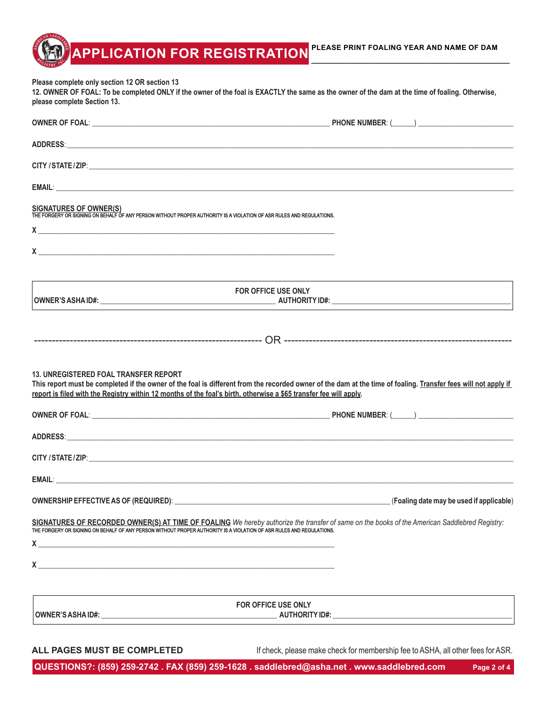**PLEASE PRINT FOALING YEAR AND NAME OF DAM \_\_\_\_\_\_\_\_\_\_\_\_\_\_\_\_\_\_\_\_\_\_\_\_\_\_\_\_\_\_\_\_\_\_\_\_\_\_\_\_\_\_\_\_\_\_\_\_\_\_**

**Please complete only section 12 OR section 13**

**12. OWNER OF FOAL: To be completed ONLY if the owner of the foal is EXACTLY the same as the owner of the dam at the time of foaling. Otherwise, please complete Section 13.**

**APPLICATION FOR REGISTRATION**

| ADDRESS: AND RESSERVE AND A RESIDENCE AND A RESIDENCE AND A RESIDENCE AND A RESIDENCE AND A RESIDENCE AND A RE                                                                                                                                                                                                                                                                  |                                                                                                                                                                                                                                   |
|---------------------------------------------------------------------------------------------------------------------------------------------------------------------------------------------------------------------------------------------------------------------------------------------------------------------------------------------------------------------------------|-----------------------------------------------------------------------------------------------------------------------------------------------------------------------------------------------------------------------------------|
|                                                                                                                                                                                                                                                                                                                                                                                 |                                                                                                                                                                                                                                   |
|                                                                                                                                                                                                                                                                                                                                                                                 |                                                                                                                                                                                                                                   |
| SIGNATURES OF OWNER(S)<br>THE FORGERY OR SIGNING ON BEHALF OF ANY PERSON WITHOUT PROPER AUTHORITY IS A VIOLATION OF ASR RULES AND REGULATIONS.<br>$X$ and $X$ and $X$ and $X$ and $X$ and $X$ and $X$ and $X$ and $X$ and $X$ and $X$ and $X$ and $X$ and $X$ and $X$ and $X$ and $X$ and $X$ and $X$ and $X$ and $X$ and $X$ and $X$ and $X$ and $X$ and $X$ and $X$ and $X$ a |                                                                                                                                                                                                                                   |
| $x \sim$ $-$                                                                                                                                                                                                                                                                                                                                                                    |                                                                                                                                                                                                                                   |
|                                                                                                                                                                                                                                                                                                                                                                                 | FOR OFFICE USE ONLY                                                                                                                                                                                                               |
|                                                                                                                                                                                                                                                                                                                                                                                 |                                                                                                                                                                                                                                   |
| <b>13. UNREGISTERED FOAL TRANSFER REPORT</b><br>report is filed with the Registry within 12 months of the foal's birth, otherwise a \$65 transfer fee will apply.                                                                                                                                                                                                               | This report must be completed if the owner of the foal is different from the recorded owner of the dam at the time of foaling. Transfer fees will not apply if                                                                    |
|                                                                                                                                                                                                                                                                                                                                                                                 | ADDRESS: And the contract of the contract of the contract of the contract of the contract of the contract of the contract of the contract of the contract of the contract of the contract of the contract of the contract of t    |
|                                                                                                                                                                                                                                                                                                                                                                                 |                                                                                                                                                                                                                                   |
|                                                                                                                                                                                                                                                                                                                                                                                 |                                                                                                                                                                                                                                   |
|                                                                                                                                                                                                                                                                                                                                                                                 |                                                                                                                                                                                                                                   |
|                                                                                                                                                                                                                                                                                                                                                                                 | SIGNATURES OF RECORDED OWNER(S) AT TIME OF FOALING We hereby authorize the transfer of same on the books of the American Saddlebred Registry:<br>THE FORGERY OR SIGNING ON BEHALF OF ANY PERSON WITHOUT PROPER AUTHORITY IS A VIO |
| X                                                                                                                                                                                                                                                                                                                                                                               |                                                                                                                                                                                                                                   |
|                                                                                                                                                                                                                                                                                                                                                                                 | <b>FOR OFFICE USE ONLY</b>                                                                                                                                                                                                        |
| ALL PAGES MUST BE COMPLETED                                                                                                                                                                                                                                                                                                                                                     | If check, please make check for membership fee to ASHA, all other fees for ASR.                                                                                                                                                   |

**QUESTIONS?: (859) 259-2742 . FAX (859) 259-1628 . saddlebred@asha.net . www.saddlebred.com Page 2 of 4**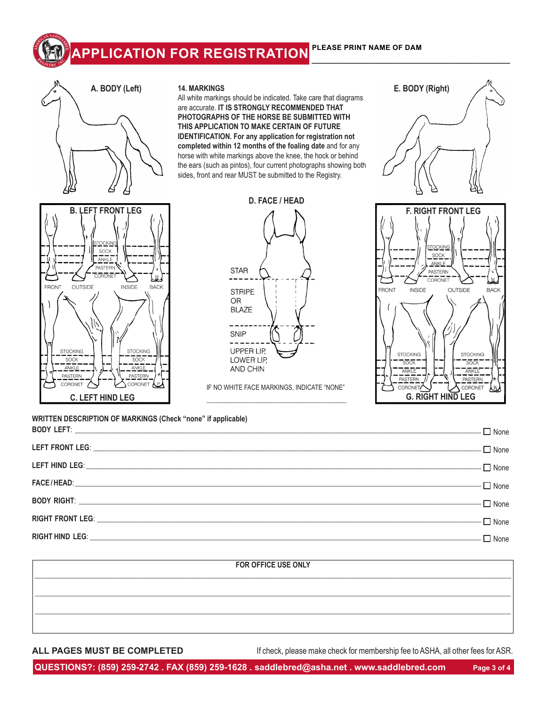# **APPLICATION FOR REGISTRATION PLEASE PRINT NAME OF DAM \_\_\_\_\_\_\_\_\_\_\_\_\_\_\_\_\_\_\_\_\_\_\_\_\_\_\_\_\_\_\_\_\_\_\_\_\_\_\_\_\_\_\_\_\_\_\_\_\_\_**





### **14. MARKINGS**

All white markings should be indicated. Take care that diagrams are accurate. **IT IS STRONGLY RECOMMENDED THAT PHOTOGRAPHS OF THE HORSE BE SUBMITTED WITH THIS APPLICATION TO MAKE CERTAIN OF FUTURE IDENTIFICATION. For any application for registration not completed within 12 months of the foaling date** and for any horse with white markings above the knee, the hock or behind the ears (such as pintos), four current photographs showing both sides, front and rear MUST be submitted to the Registry.



IF NO WHITE FACE MARKINGS, INDICATE "NONE" \_\_\_\_\_\_\_\_\_\_\_\_\_\_\_\_\_\_\_\_\_\_\_\_\_\_\_\_\_\_\_\_\_\_\_\_\_\_\_\_\_\_\_





**WRITTEN DESCRIPTION OF MARKINGS (Check "none" if applicable) BODY LEFT**: \_\_\_\_\_\_\_\_\_\_\_\_\_\_\_\_\_\_\_\_\_\_\_\_\_\_\_\_\_\_\_\_\_\_\_\_\_\_\_\_\_\_\_\_\_\_\_\_\_\_\_\_\_\_\_\_\_\_\_\_\_\_\_\_\_\_\_\_\_\_\_\_\_\_\_\_\_\_\_\_\_\_\_\_\_\_\_\_\_\_\_\_\_\_\_\_\_\_\_\_\_\_\_\_\_\_\_\_\_\_\_

| LEFT FRONT LEG: None                        |  |
|---------------------------------------------|--|
| LEFT HIND LEG: None                         |  |
| $\mathsf{FACE}/\mathsf{HEAD}$ : $\Box$ None |  |
|                                             |  |
|                                             |  |
|                                             |  |

# **FOR OFFICE USE ONLY \_\_\_\_\_\_\_\_\_\_\_\_\_\_\_\_\_\_\_\_\_\_\_\_\_\_\_\_\_\_\_\_\_\_\_\_\_\_\_\_\_\_\_\_\_\_\_\_\_\_\_\_\_\_\_\_\_\_\_\_\_\_\_\_\_\_\_\_\_\_\_\_\_\_\_\_\_\_\_\_\_\_\_\_\_\_\_\_\_\_\_\_\_\_\_\_\_\_\_\_\_\_\_\_\_\_\_\_\_\_\_\_\_\_\_\_\_\_\_\_\_\_\_\_\_\_\_\_\_\_ \_\_\_\_\_\_\_\_\_\_\_\_\_\_\_\_\_\_\_\_\_\_\_\_\_\_\_\_\_\_\_\_\_\_\_\_\_\_\_\_\_\_\_\_\_\_\_\_\_\_\_\_\_\_\_\_\_\_\_\_\_\_\_\_\_\_\_\_\_\_\_\_\_\_\_\_\_\_\_\_\_\_\_\_\_\_\_\_\_\_\_\_\_\_\_\_\_\_\_\_\_\_\_\_\_\_\_\_\_\_\_\_\_\_\_\_\_\_\_\_\_\_\_\_\_\_\_\_\_\_ \_\_\_\_\_\_\_\_\_\_\_\_\_\_\_\_\_\_\_\_\_\_\_\_\_\_\_\_\_\_\_\_\_\_\_\_\_\_\_\_\_\_\_\_\_\_\_\_\_\_\_\_\_\_\_\_\_\_\_\_\_\_\_\_\_\_\_\_\_\_\_\_\_\_\_\_\_\_\_\_\_\_\_\_\_\_\_\_\_\_\_\_\_\_\_\_\_\_\_\_\_\_\_\_\_\_\_\_\_\_\_\_\_\_\_\_\_\_\_\_\_\_\_\_\_\_\_\_\_\_**

**ALL PAGES MUST BE COMPLETED** If check, please make check for membership fee to ASHA, all other fees for ASR.